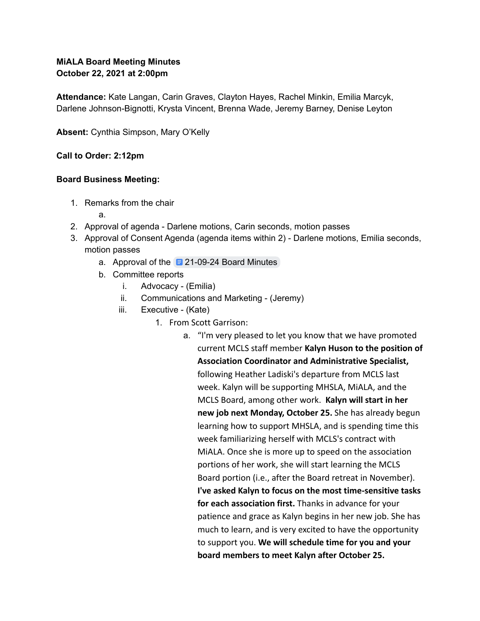# **MiALA Board Meeting Minutes October 22, 2021 at 2:00pm**

**Attendance:** Kate Langan, Carin Graves, Clayton Hayes, Rachel Minkin, Emilia Marcyk, Darlene Johnson-Bignotti, Krysta Vincent, Brenna Wade, Jeremy Barney, Denise Leyton

**Absent:** Cynthia Simpson, Mary O'Kelly

### **Call to Order: 2:12pm**

#### **Board Business Meeting:**

- 1. Remarks from the chair
	- a.
- 2. Approval of agenda Darlene motions, Carin seconds, motion passes
- 3. Approval of Consent Agenda (agenda items within 2) Darlene motions, Emilia seconds, motion passes
	- a. Approval of the  $\overline{21-09-24}$  $\overline{21-09-24}$  $\overline{21-09-24}$  Board Minutes
	- b. Committee reports
		- i. Advocacy (Emilia)
		- ii. Communications and Marketing (Jeremy)
		- iii. Executive (Kate)
			- 1. From Scott Garrison:
				- a. "I'm very pleased to let you know that we have promoted current MCLS staff member **Kalyn Huson to the position of Association Coordinator and Administrative Specialist,** following Heather Ladiski's departure from MCLS last week. Kalyn will be supporting MHSLA, MiALA, and the MCLS Board, among other work. **Kalyn will start in her new job next Monday, October 25.** She has already begun learning how to support MHSLA, and is spending time this week familiarizing herself with MCLS's contract with MiALA. Once she is more up to speed on the association portions of her work, she will start learning the MCLS Board portion (i.e., after the Board retreat in November). **I've asked Kalyn to focus on the most time-sensitive tasks for each association first.** Thanks in advance for your patience and grace as Kalyn begins in her new job. She has much to learn, and is very excited to have the opportunity to support you. **We will schedule time for you and your board members to meet Kalyn after October 25.**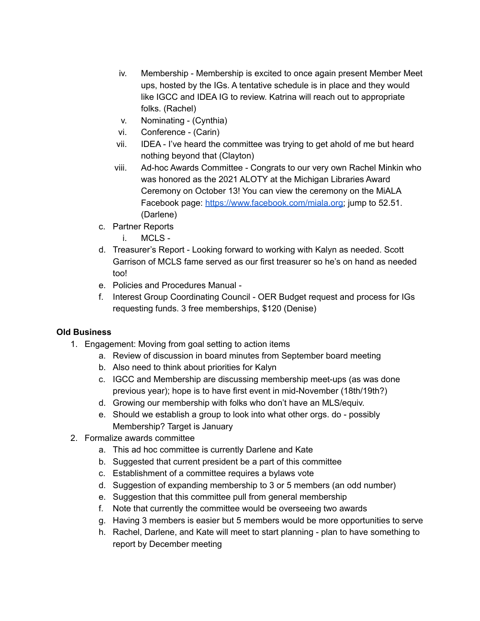- iv. Membership Membership is excited to once again present Member Meet ups, hosted by the IGs. A tentative schedule is in place and they would like IGCC and IDEA IG to review. Katrina will reach out to appropriate folks. (Rachel)
- v. Nominating (Cynthia)
- vi. Conference (Carin)
- vii. IDEA I've heard the committee was trying to get ahold of me but heard nothing beyond that (Clayton)
- viii. Ad-hoc Awards Committee Congrats to our very own Rachel Minkin who was honored as the 2021 ALOTY at the Michigan Libraries Award Ceremony on October 13! You can view the ceremony on the MiALA Facebook page: [https://www.facebook.com/miala.org;](https://www.facebook.com/miala.org) jump to 52.51. (Darlene)
- c. Partner Reports
	- i. MCLS -
- d. Treasurer's Report Looking forward to working with Kalyn as needed. Scott Garrison of MCLS fame served as our first treasurer so he's on hand as needed too!
- e. Policies and Procedures Manual -
- f. Interest Group Coordinating Council OER Budget request and process for IGs requesting funds. 3 free memberships, \$120 (Denise)

# **Old Business**

- 1. Engagement: Moving from goal setting to action items
	- a. Review of discussion in board minutes from September board meeting
	- b. Also need to think about priorities for Kalyn
	- c. IGCC and Membership are discussing membership meet-ups (as was done previous year); hope is to have first event in mid-November (18th/19th?)
	- d. Growing our membership with folks who don't have an MLS/equiv.
	- e. Should we establish a group to look into what other orgs. do possibly Membership? Target is January
- 2. Formalize awards committee
	- a. This ad hoc committee is currently Darlene and Kate
	- b. Suggested that current president be a part of this committee
	- c. Establishment of a committee requires a bylaws vote
	- d. Suggestion of expanding membership to 3 or 5 members (an odd number)
	- e. Suggestion that this committee pull from general membership
	- f. Note that currently the committee would be overseeing two awards
	- g. Having 3 members is easier but 5 members would be more opportunities to serve
	- h. Rachel, Darlene, and Kate will meet to start planning plan to have something to report by December meeting